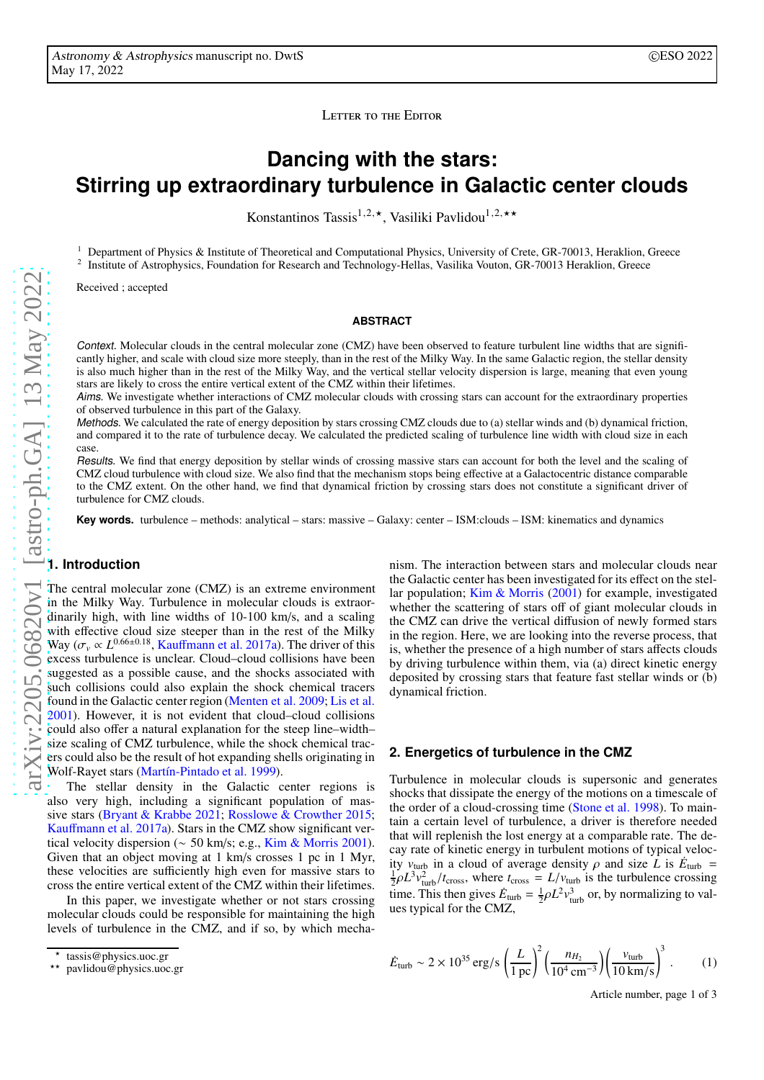LETTER TO THE EDITOR

# **Dancing with the stars: Stirring up extraordinary turbulence in Galactic center clouds**

Konstantinos Tassis<sup>1,2,\*</sup>, Vasiliki Pavlidou<sup>1,2,\*\*</sup>

<sup>1</sup> Department of Physics & Institute of Theoretical and Computational Physics, University of Crete, GR-70013, Heraklion, Greece 2 <sup>2</sup> Institute of Astrophysics, Foundation for Research and Technology-Hellas, Vasilika Vouton, GR-70013 Heraklion, Greece

Received ; accepted

## **ABSTRACT**

Context. Molecular clouds in the central molecular zone (CMZ) have been observed to feature turbulent line widths that are significantly higher, and scale with cloud size more steeply, than in the rest of the Milky Way. In the same Galactic region, the stellar density is also much higher than in the rest of the Milky Way, and the vertical stellar velocity dispersion is large, meaning that even young stars are likely to cross the entire vertical extent of the CMZ within their lifetimes.

Aims. We investigate whether interactions of CMZ molecular clouds with crossing stars can account for the extraordinary properties of observed turbulence in this part of the Galaxy.

Methods. We calculated the rate of energy deposition by stars crossing CMZ clouds due to (a) stellar winds and (b) dynamical friction, and compared it to the rate of turbulence decay. We calculated the predicted scaling of turbulence line width with cloud size in each case.

Results. We find that energy deposition by stellar winds of crossing massive stars can account for both the level and the scaling of CMZ cloud turbulence with cloud size. We also find that the mechanism stops being effective at a Galactocentric distance comparable to the CMZ extent. On the other hand, we find that dynamical friction by crossing stars does not constitute a significant driver of turbulence for CMZ clouds.

**Key words.** turbulence – methods: analytical – stars: massive – Galaxy: center – ISM:clouds – ISM: kinematics and dynamics

## **1. Introduction**

The central molecular zone (CMZ) is an extreme environment in the Milky Way. Turbulence in molecular clouds is extraordinarily high, with line widths of 10-100 km/s, and a scaling with effective cloud size steeper than in the rest of the Milky Way ( $\sigma_v \propto L^{0.66\pm0.18}$ , Kauff[mann et al. 2017a\)](#page-2-0). The driver of this excess turbulence is unclear. Cloud–cloud collisions have been suggested as a possible cause, and the shocks associated with such collisions could also explain the shock chemical tracers found in the Galactic center region [\(Menten et al. 2009;](#page-2-1) [Lis et al.](#page-2-2) [2001\)](#page-2-2). However, it is not evident that cloud–cloud collisions could also offer a natural explanation for the steep line–width– size scaling of CMZ turbulence, while the shock chemical tracers could also be the result of hot expanding shells originating in Wolf-Rayet stars [\(Martín-Pintado et al. 1999\)](#page-2-3).

The stellar density in the Galactic center regions is also very high, including a significant population of massive stars [\(Bryant & Krabbe 2021;](#page-2-4) [Rosslowe & Crowther 2015](#page-2-5); Kauff[mann et al. 2017a](#page-2-0)). Stars in the CMZ show significant vertical velocity dispersion (∼ 50 km/s; e.g., [Kim & Morris 2001](#page-2-6)). Given that an object moving at 1 km/s crosses 1 pc in 1 Myr, these velocities are sufficiently high even for massive stars to cross the entire vertical extent of the CMZ within their lifetimes.

In this paper, we investigate whether or not stars crossing molecular clouds could be responsible for maintaining the high levels of turbulence in the CMZ, and if so, by which mecha-

nism. The interaction between stars and molecular clouds near the Galactic center has been investigated for its effect on the stellar population; [Kim & Morris](#page-2-6) [\(2001\)](#page-2-6) for example, investigated whether the scattering of stars off of giant molecular clouds in the CMZ can drive the vertical diffusion of newly formed stars in the region. Here, we are looking into the reverse process, that is, whether the presence of a high number of stars affects clouds by driving turbulence within them, via (a) direct kinetic energy deposited by crossing stars that feature fast stellar winds or (b) dynamical friction.

## **2. Energetics of turbulence in the CMZ**

Turbulence in molecular clouds is supersonic and generates shocks that dissipate the energy of the motions on a timescale of the order of a cloud-crossing time [\(Stone et al. 1998\)](#page-2-7). To maintain a certain level of turbulence, a driver is therefore needed that will replenish the lost energy at a comparable rate. The decay rate of kinetic energy in turbulent motions of typical velocity  $v_{\text{turb}}$  in a cloud of average density  $\rho$  and size  $\vec{L}$  is  $\vec{E}_{\text{turb}} =$  $\frac{1}{2}\rho L^3 v_{\text{turb}}^2 / t_{\text{cross}}$ , where  $t_{\text{cross}} = L/v_{\text{turb}}$  is the turbulence crossing time. This then gives  $\dot{E}_{\text{turb}} = \frac{1}{2} \rho L^2 v_{\text{turb}}^3$  or, by normalizing to values typical for the CMZ,

$$
\dot{E}_{\text{turb}} \sim 2 \times 10^{35} \text{ erg/s} \left(\frac{L}{1 \text{ pc}}\right)^2 \left(\frac{n_{H_2}}{10^4 \text{ cm}^{-3}}\right) \left(\frac{v_{\text{turb}}}{10 \text{ km/s}}\right)^3
$$
. (1)

<span id="page-0-0"></span>Article number, page 1 of 3

<sup>⋆</sup> tassis@physics.uoc.gr

<sup>⋆⋆</sup> pavlidou@physics.uoc.gr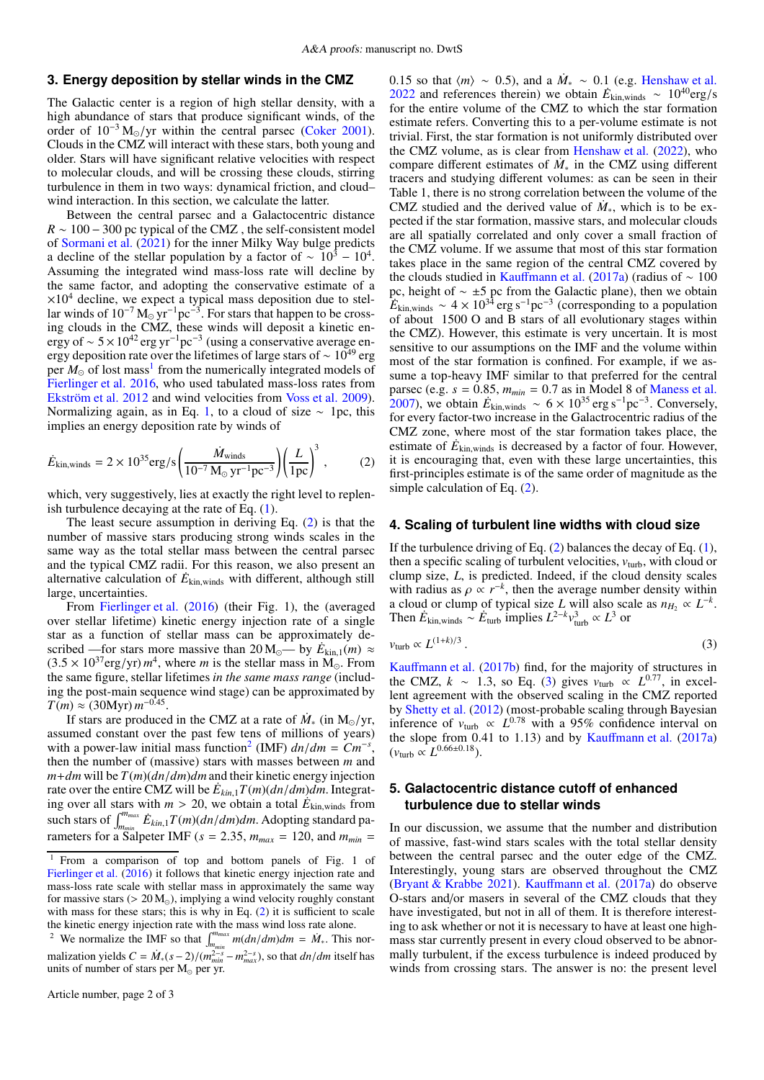# **3. Energy deposition by stellar winds in the CMZ**

The Galactic center is a region of high stellar density, with a high abundance of stars that produce significant winds, of the order of  $10^{-3} M_{\odot}/yr$  within the central parsec [\(Coker 2001](#page-2-8)). Clouds in the CMZ will interact with these stars, both young and older. Stars will have significant relative velocities with respect to molecular clouds, and will be crossing these clouds, stirring turbulence in them in two ways: dynamical friction, and cloud– wind interaction. In this section, we calculate the latter.

Between the central parsec and a Galactocentric distance  $R \sim 100 - 300$  pc typical of the CMZ, the self-consistent model of [Sormani et al.](#page-2-9) [\(2021\)](#page-2-9) for the inner Milky Way bulge predicts a decline of the stellar population by a factor of  $\sim 10^3 - 10^4$ . Assuming the integrated wind mass-loss rate will decline by the same factor, and adopting the conservative estimate of a  $\times 10^4$  decline, we expect a typical mass deposition due to stellar winds of  $10^{-7}$  M<sub>☉</sub> yr<sup>-1</sup>pc<sup>-3</sup>. For stars that happen to be crossing clouds in the CMZ, these winds will deposit a kinetic energy of ~  $5 \times 10^{42}$  erg yr<sup>-1</sup>pc<sup>-3</sup> (using a conservative average energy deposition rate over the lifetimes of large stars of  $\sim 10^{49}$  erg per  $M_{\odot}$  of lost mass<sup>[1](#page-1-0)</sup> from the numerically integrated models of [Fierlinger et al. 2016](#page-2-10), who used tabulated mass-loss rates from [Ekström et al. 2012](#page-2-11) and wind velocities from [Voss et al. 2009](#page-2-12)). Normalizing again, as in Eq. [1,](#page-0-0) to a cloud of size  $\sim$  1pc, this implies an energy deposition rate by winds of

$$
\dot{E}_{\text{kin,winds}} = 2 \times 10^{35} \text{erg/s} \left( \frac{\dot{M}_{\text{winds}}}{10^{-7} \, \text{M}_{\odot} \, \text{yr}^{-1} \text{pc}^{-3}} \right) \left( \frac{L}{1 \, \text{pc}} \right)^3 \,, \tag{2}
$$

which, very suggestively, lies at exactly the right level to replenish turbulence decaying at the rate of Eq. [\(1\)](#page-0-0).

The least secure assumption in deriving Eq. [\(2\)](#page-1-1) is that the number of massive stars producing strong winds scales in the same way as the total stellar mass between the central parsec and the typical CMZ radii. For this reason, we also present an alternative calculation of  $\dot{E}_{\text{kin, winds}}$  with different, although still large, uncertainties.

From [Fierlinger et al.](#page-2-10) [\(2016\)](#page-2-10) (their Fig. 1), the (averaged over stellar lifetime) kinetic energy injection rate of a single star as a function of stellar mass can be approximately described —for stars more massive than  $20 M_{\odot}$ — by  $E_{kin,1}(m) \approx$  $(3.5 \times 10^{37} \text{erg/yr}) m^4$ , where *m* is the stellar mass in M<sub>☉</sub>. From the same figure, stellar lifetimes *in the same mass range* (including the post-main sequence wind stage) can be approximated by  $T(m) \approx (30$ Myr)  $m^{-0.45}$ .

If stars are produced in the CMZ at a rate of  $\dot{M}_{*}$  (in M<sub>☉</sub>/yr, assumed constant over the past few tens of millions of years) with a power-law initial mass function<sup>[2](#page-1-2)</sup> (IMF)  $dn/dm = Cm^{-s}$ , then the number of (massive) stars with masses between *m* and  $m+dm$  will be  $T(m)(dn/dm)dm$  and their kinetic energy injection rate over the entire CMZ will be  $\dot{E}_{kin,1}T(m)(dn/dm)dm$ . Integrating over all stars with  $m > 20$ , we obtain a total  $\hat{E}_{kin, winds}$  from such stars of  $\int_{m_{min}}^{m_{max}} \dot{E}_{kin,1} T(m) (dn/dm) dm$ . Adopting standard parameters for a Salpeter IMF ( $s = 2.35$ ,  $m_{max} = 120$ , and  $m_{min} =$ 

0.15 so that  $\langle m \rangle \sim 0.5$ ), and a  $M_* \sim 0.1$  (e.g. [Henshaw et al.](#page-2-13) [2022](#page-2-13) and references therein) we obtain  $E_{\text{kin, winds}} \sim 10^{40} \text{erg/s}$ for the entire volume of the CMZ to which the star formation estimate refers. Converting this to a per-volume estimate is not trivial. First, the star formation is not uniformly distributed over the CMZ volume, as is clear from [Henshaw et al.](#page-2-13) [\(2022](#page-2-13)), who compare different estimates of  $\dot{M}_*$  in the CMZ using different tracers and studying different volumes: as can be seen in their Table 1, there is no strong correlation between the volume of the CMZ studied and the derived value of  $M_*$ , which is to be expected if the star formation, massive stars, and molecular clouds are all spatially correlated and only cover a small fraction of the CMZ volume. If we assume that most of this star formation takes place in the same region of the central CMZ covered by the clouds studied in Kauff[mann et al.](#page-2-0) [\(2017a](#page-2-0)) (radius of  $\sim 100$ pc, height of ∼ ±5 pc from the Galactic plane), then we obtain  $E_{\text{kin,winds}} \sim 4 \times 10^{34} \text{ erg s}^{-1} \text{pc}^{-3}$  (corresponding to a population of about 1500 O and B stars of all evolutionary stages within the CMZ). However, this estimate is very uncertain. It is most sensitive to our assumptions on the IMF and the volume within most of the star formation is confined. For example, if we assume a top-heavy IMF similar to that preferred for the central parsec (e.g.  $s = 0.85$ ,  $m_{min} = 0.7$  as in Model 8 of [Maness et al.](#page-2-14) [2007\)](#page-2-14), we obtain  $E_{\text{kin,winds}} \sim 6 \times 10^{35} \text{ erg s}^{-1} \text{pc}^{-3}$ . Conversely, for every factor-two increase in the Galactrocentric radius of the CMZ zone, where most of the star formation takes place, the estimate of  $\dot{E}_{\text{kin,winds}}$  is decreased by a factor of four. However, it is encouraging that, even with these large uncertainties, this first-principles estimate is of the same order of magnitude as the simple calculation of Eq. [\(2\)](#page-1-1).

#### <span id="page-1-1"></span>**4. Scaling of turbulent line widths with cloud size**

If the turbulence driving of Eq. [\(2\)](#page-1-1) balances the decay of Eq. [\(1\)](#page-0-0), then a specific scaling of turbulent velocities,  $v_{\text{turb}}$ , with cloud or clump size, *L*, is predicted. Indeed, if the cloud density scales with radius as  $\rho \propto r^{-k}$ , then the average number density within a cloud or clump of typical size *L* will also scale as  $n_{H_2} \propto L^{-k}$ . Then  $\dot{E}_{\text{kin,winds}} \sim \dot{E}_{\text{turb}}$  implies  $L^{2-k} v_{\text{turb}}^3 \propto L^3$  or

<span id="page-1-3"></span>
$$
v_{\text{turb}} \propto L^{(1+k)/3} \,. \tag{3}
$$

Kauff[mann et al.](#page-2-15) [\(2017b\)](#page-2-15) find, for the majority of structures in the CMZ,  $k \sim 1.3$ , so Eq. [\(3\)](#page-1-3) gives  $v_{\text{turb}} \propto L^{0.77}$ , in excellent agreement with the observed scaling in the CMZ reported by [Shetty et al.](#page-2-16) [\(2012\)](#page-2-16) (most-probable scaling through Bayesian inference of  $v_{\text{turb}} \propto L^{0.78}$  with a 95% confidence interval on the slope from  $0.41$  to 1.13) and by Kauff[mann et al.](#page-2-0)  $(2017a)$  $(2017a)$  $(v_{\text{turb}} \propto L^{0.66 \pm 0.18}).$ 

# **5. Galactocentric distance cutoff of enhanced turbulence due to stellar winds**

In our discussion, we assume that the number and distribution of massive, fast-wind stars scales with the total stellar density between the central parsec and the outer edge of the CMZ. Interestingly, young stars are observed throughout the CMZ [\(Bryant & Krabbe 2021\)](#page-2-4). Kauff[mann et al.](#page-2-0) [\(2017a\)](#page-2-0) do observe O-stars and/or masers in several of the CMZ clouds that they have investigated, but not in all of them. It is therefore interesting to ask whether or not it is necessary to have at least one highmass star currently present in every cloud observed to be abnormally turbulent, if the excess turbulence is indeed produced by winds from crossing stars. The answer is no: the present level

<span id="page-1-0"></span><sup>1</sup> From a comparison of top and bottom panels of Fig. 1 of [Fierlinger et al.](#page-2-10) [\(2016](#page-2-10)) it follows that kinetic energy injection rate and mass-loss rate scale with stellar mass in approximately the same way for massive stars ( $> 20 M_{\odot}$ ), implying a wind velocity roughly constant with mass for these stars; this is why in Eq.  $(2)$  it is sufficient to scale the kinetic energy injection rate with the mass wind loss rate alone.

<span id="page-1-2"></span><sup>&</sup>lt;sup>2</sup> We normalize the IMF so that  $\int_{m_{min}}^{m_{max}} m(dn/dm)dm = \dot{M}$ . This normalization yields  $C = \dot{M}_*(s-2)/((m_{min}^{2-s} - m_{max}^{2-s}))$ , so that  $dn/dm$  itself has units of number of stars per  $M_{\odot}$  per yr.